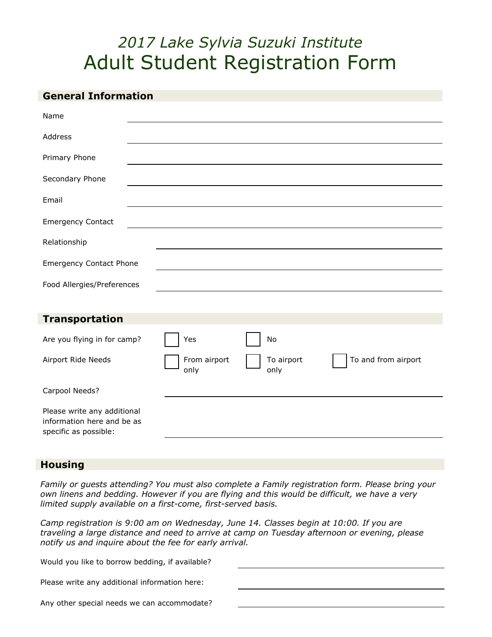# *2017 Lake Sylvia Suzuki Institute* Adult Student Registration Form

| <b>General Information</b>                                                         |                      |                    |                     |
|------------------------------------------------------------------------------------|----------------------|--------------------|---------------------|
| Name                                                                               |                      |                    |                     |
| Address                                                                            |                      |                    |                     |
| Primary Phone                                                                      |                      |                    |                     |
| Secondary Phone                                                                    |                      |                    |                     |
| Email                                                                              |                      |                    |                     |
| <b>Emergency Contact</b>                                                           |                      |                    |                     |
| Relationship                                                                       |                      |                    |                     |
| <b>Emergency Contact Phone</b>                                                     |                      |                    |                     |
| Food Allergies/Preferences                                                         |                      |                    |                     |
|                                                                                    |                      |                    |                     |
| <b>Transportation</b>                                                              |                      |                    |                     |
| Are you flying in for camp?                                                        | Yes                  | No                 |                     |
| Airport Ride Needs                                                                 | From airport<br>only | To airport<br>only | To and from airport |
| Carpool Needs?                                                                     |                      |                    |                     |
| Please write any additional<br>information here and be as<br>specific as possible: |                      |                    |                     |
|                                                                                    |                      |                    |                     |

## **Housing**

*Family or guests attending? You must also complete a Family registration form. Please bring your own linens and bedding. However if you are flying and this would be difficult, we have a very limited supply available on a first-come, first-served basis.*

*Camp registration is 9:00 am on Wednesday, June 14. Classes begin at 10:00. If you are traveling a large distance and need to arrive at camp on Tuesday afternoon or evening, please notify us and inquire about the fee for early arrival.*

| Would you like to borrow bedding, if available? |  |
|-------------------------------------------------|--|
|                                                 |  |
| Please write any additional information here:   |  |
| Any other special needs we can accommodate?     |  |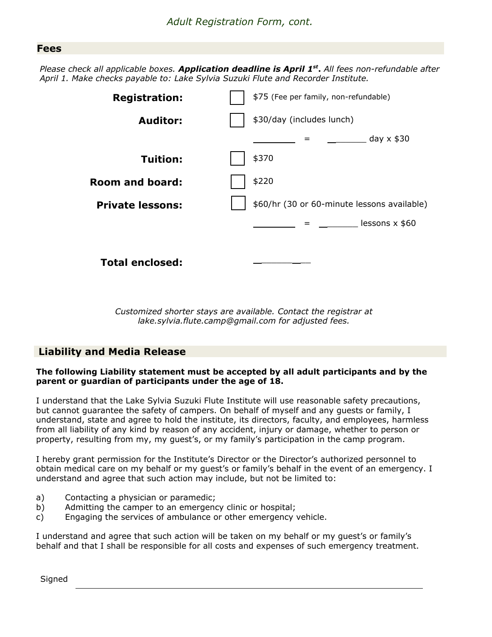## **Fees**

*Please check all applicable bo xes. Application deadline is April 1 st* **.** *All fees non-refundable after April 1. Make checks payable to: Lake Sylvia Suzuki Flute and Recorder Institute.*



*Customized shorter stays are available. Contact the registrar at lake.sylvia.flute.camp@gmail.com for adjusted fees.*

## **Liability and Media Release**

#### **The following Liability statement must be accepted by all adult participants and by the parent or guardian of participants under the age of 18.**

I understand that the Lake Sylvia Suzuki Flute Institute will use reasonable safety precautions, but cannot guarantee the safety of campers. On behalf of myself and any guests or family, I understand, state and agree to hold the institute, its directors, faculty, and employees, harmless from all liability of any kind by reason of any accident, injury or damage, whether to person or property, resulting from my, my guest's, or my family's participation in the camp program.

I hereby grant permission for the Institute's Director or the Director's authorized personnel to obtain medical care on my behalf or my guest's or family's behalf in the event of an emergency. I understand and agree that such action may include, but not be limited to:

- a) Contacting a physician or paramedic;
- b) Admitting the camper to an emergency clinic or hospital;
- c) Engaging the services of ambulance or other emergency vehicle.

I understand and agree that such action will be taken on my behalf or my guest's or family's behalf and that I shall be responsible for all costs and expenses of such emergency treatment.

Signed